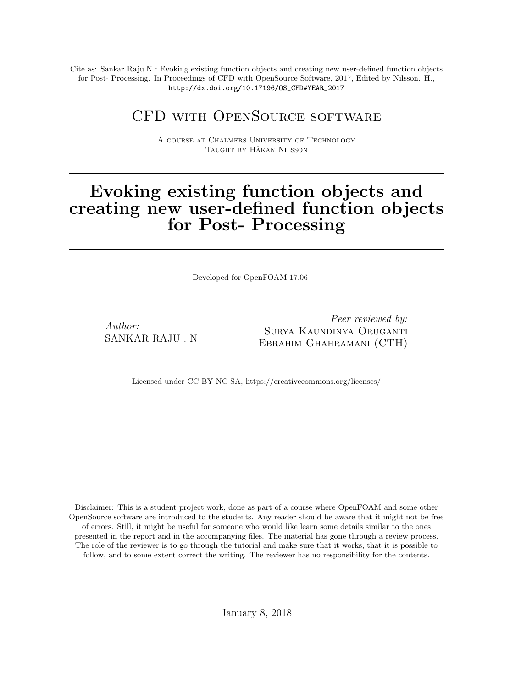Cite as: Sankar Raju.N : Evoking existing function objects and creating new user-defined function objects for Post- Processing. In Proceedings of CFD with OpenSource Software, 2017, Edited by Nilsson. H., http://dx.doi.org/10.17196/OS\_CFD#YEAR\_2017

## CFD with OpenSource software

A course at Chalmers University of Technology TAUGHT BY HÅKAN NILSSON

## Evoking existing function objects and creating new user-defined function objects for Post- Processing

Developed for OpenFOAM-17.06

Author: SANKAR RAJU . N

Peer reviewed by: Surya Kaundinya Oruganti Ebrahim Ghahramani (CTH)

Licensed under CC-BY-NC-SA, https://creativecommons.org/licenses/

Disclaimer: This is a student project work, done as part of a course where OpenFOAM and some other OpenSource software are introduced to the students. Any reader should be aware that it might not be free of errors. Still, it might be useful for someone who would like learn some details similar to the ones presented in the report and in the accompanying files. The material has gone through a review process. The role of the reviewer is to go through the tutorial and make sure that it works, that it is possible to follow, and to some extent correct the writing. The reviewer has no responsibility for the contents.

January 8, 2018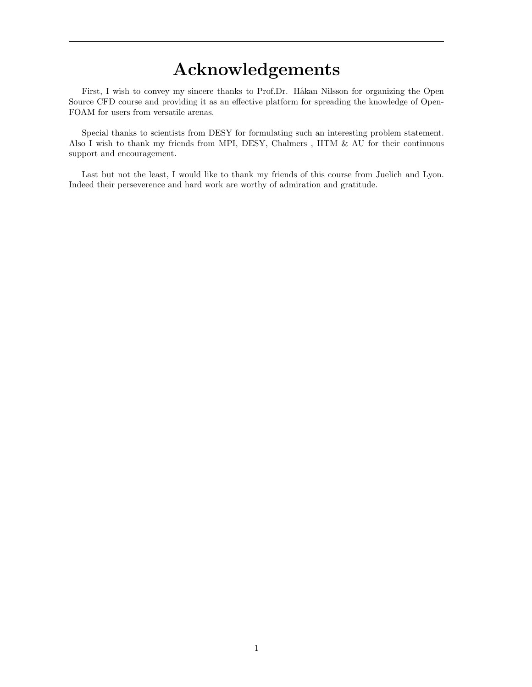# Acknowledgements

First, I wish to convey my sincere thanks to Prof.Dr. Håkan Nilsson for organizing the Open Source CFD course and providing it as an effective platform for spreading the knowledge of Open-FOAM for users from versatile arenas.

Special thanks to scientists from DESY for formulating such an interesting problem statement. Also I wish to thank my friends from MPI, DESY, Chalmers , IITM & AU for their continuous support and encouragement.

Last but not the least, I would like to thank my friends of this course from Juelich and Lyon. Indeed their perseverence and hard work are worthy of admiration and gratitude.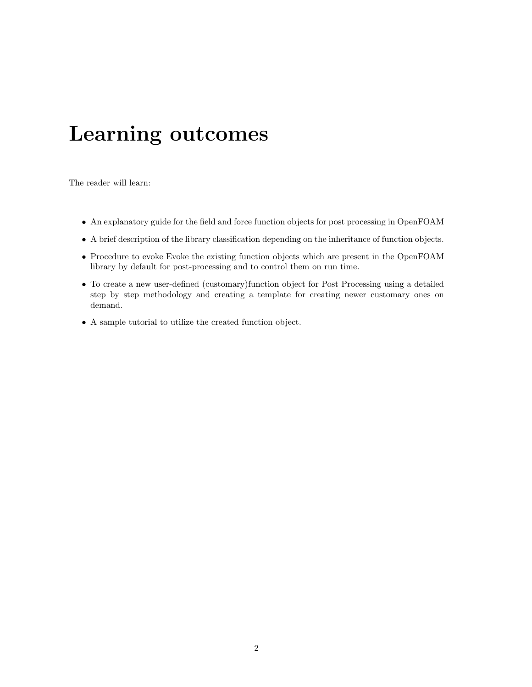# Learning outcomes

The reader will learn:

- An explanatory guide for the field and force function objects for post processing in OpenFOAM
- A brief description of the library classification depending on the inheritance of function objects.
- Procedure to evoke Evoke the existing function objects which are present in the OpenFOAM library by default for post-processing and to control them on run time.
- To create a new user-defined (customary)function object for Post Processing using a detailed step by step methodology and creating a template for creating newer customary ones on demand.
- A sample tutorial to utilize the created function object.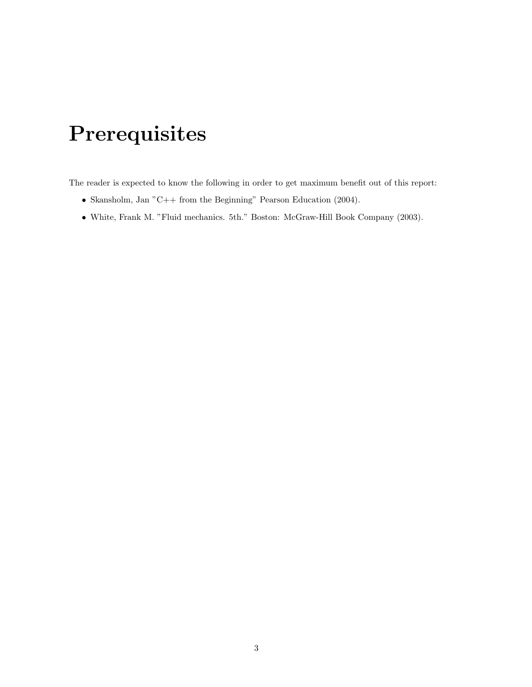# Prerequisites

The reader is expected to know the following in order to get maximum benefit out of this report:

- Skansholm, Jan "C++ from the Beginning" Pearson Education (2004).
- White, Frank M. "Fluid mechanics. 5th." Boston: McGraw-Hill Book Company (2003).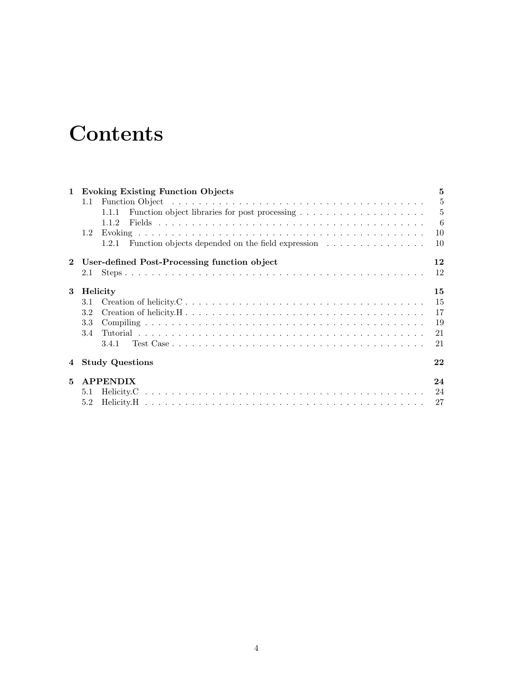# **Contents**

| $\mathbf 1$ | <b>Evoking Existing Function Objects</b>                   | $\mathbf{5}$   |
|-------------|------------------------------------------------------------|----------------|
|             | 1.1                                                        | $\overline{5}$ |
|             |                                                            | $\overline{5}$ |
|             | 1.1.2                                                      | $-6$           |
|             | $1.2^{\circ}$                                              | 10             |
|             | Function objects depended on the field expression<br>1.2.1 | 10             |
|             | 2 User-defined Post-Processing function object             | 12             |
|             |                                                            | 12             |
| 3           | Helicity                                                   | 15             |
|             | 3.1                                                        | 15             |
|             | 3.2                                                        | 17             |
|             | 3.3                                                        | 19             |
|             | 3.4                                                        | 21             |
|             | 3.4.1                                                      | 21             |
| 4           | <b>Study Questions</b>                                     | 22             |
| 5           | <b>APPENDIX</b>                                            | 24             |
|             |                                                            | 24             |
|             | 5.2                                                        | 27             |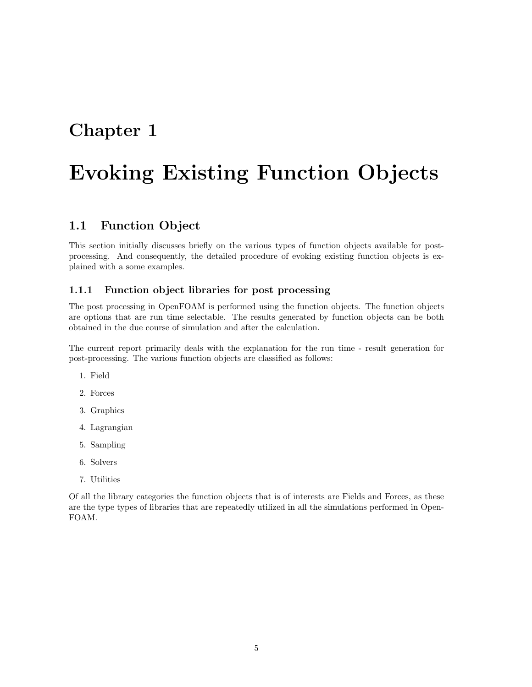# Chapter 1

# Evoking Existing Function Objects

## 1.1 Function Object

This section initially discusses briefly on the various types of function objects available for postprocessing. And consequently, the detailed procedure of evoking existing function objects is explained with a some examples.

#### 1.1.1 Function object libraries for post processing

The post processing in OpenFOAM is performed using the function objects. The function objects are options that are run time selectable. The results generated by function objects can be both obtained in the due course of simulation and after the calculation.

The current report primarily deals with the explanation for the run time - result generation for post-processing. The various function objects are classified as follows:

- 1. Field
- 2. Forces
- 3. Graphics
- 4. Lagrangian
- 5. Sampling
- 6. Solvers
- 7. Utilities

Of all the library categories the function objects that is of interests are Fields and Forces, as these are the type types of libraries that are repeatedly utilized in all the simulations performed in Open-FOAM.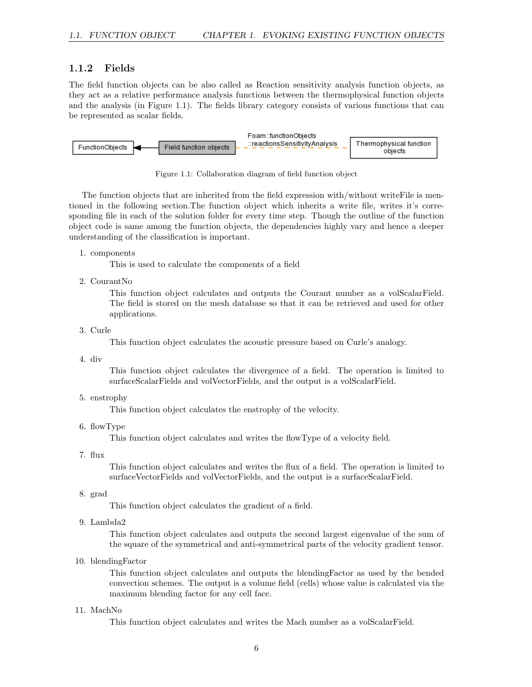#### 1.1.2 Fields

The field function objects can be also called as Reaction sensitivity analysis function objects, as they act as a relative performance analysis functions between the thermophysical function objects and the analysis (in Figure 1.1). The fields library category consists of various functions that can be represented as scalar fields.



Figure 1.1: Collaboration diagram of field function object

The function objects that are inherited from the field expression with/without writeFile is mentioned in the following section.The function object which inherits a write file, writes it's corresponding file in each of the solution folder for every time step. Though the outline of the function object code is same among the function objects, the dependencies highly vary and hence a deeper understanding of the classification is important.

1. components

This is used to calculate the components of a field

2. CourantNo

This function object calculates and outputs the Courant number as a volScalarField. The field is stored on the mesh database so that it can be retrieved and used for other applications.

3. Curle

This function object calculates the acoustic pressure based on Curle's analogy.

4. div

This function object calculates the divergence of a field. The operation is limited to surfaceScalarFields and volVectorFields, and the output is a volScalarField.

5. enstrophy

This function object calculates the enstrophy of the velocity.

6. flowType

This function object calculates and writes the flowType of a velocity field.

7. flux

This function object calculates and writes the flux of a field. The operation is limited to surfaceVectorFields and volVectorFields, and the output is a surfaceScalarField.

8. grad

This function object calculates the gradient of a field.

9. Lambda2

This function object calculates and outputs the second largest eigenvalue of the sum of the square of the symmetrical and anti-symmetrical parts of the velocity gradient tensor.

10. blendingFactor

This function object calculates and outputs the blendingFactor as used by the bended convection schemes. The output is a volume field (cells) whose value is calculated via the maximum blending factor for any cell face.

11. MachNo

This function object calculates and writes the Mach number as a volScalarField.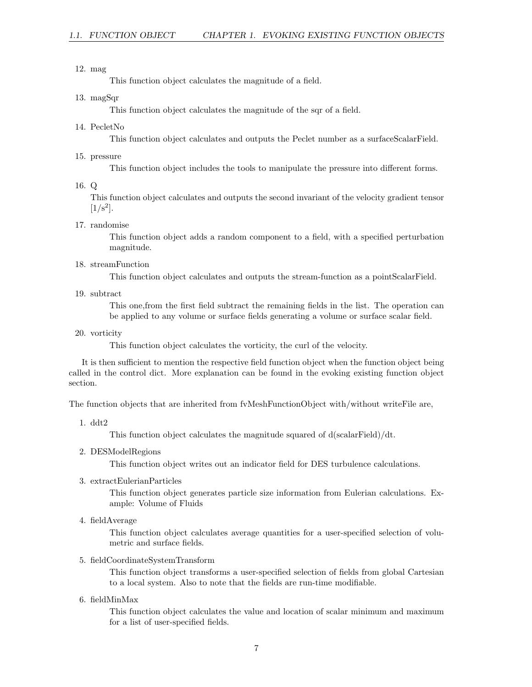#### 12. mag

This function object calculates the magnitude of a field.

#### 13. magSqr

This function object calculates the magnitude of the sqr of a field.

14. PecletNo

This function object calculates and outputs the Peclet number as a surfaceScalarField.

15. pressure

This function object includes the tools to manipulate the pressure into different forms.

#### 16. Q

This function object calculates and outputs the second invariant of the velocity gradient tensor  $[1/s^2]$ .

#### 17. randomise

This function object adds a random component to a field, with a specified perturbation magnitude.

#### 18. streamFunction

This function object calculates and outputs the stream-function as a pointScalarField.

19. subtract

This one,from the first field subtract the remaining fields in the list. The operation can be applied to any volume or surface fields generating a volume or surface scalar field.

20. vorticity

This function object calculates the vorticity, the curl of the velocity.

It is then sufficient to mention the respective field function object when the function object being called in the control dict. More explanation can be found in the evoking existing function object section.

The function objects that are inherited from fvMeshFunctionObject with/without writeFile are,

1. ddt2

This function object calculates the magnitude squared of d(scalarField)/dt.

2. DESModelRegions

This function object writes out an indicator field for DES turbulence calculations.

3. extractEulerianParticles

This function object generates particle size information from Eulerian calculations. Example: Volume of Fluids

4. fieldAverage

This function object calculates average quantities for a user-specified selection of volumetric and surface fields.

#### 5. fieldCoordinateSystemTransform

This function object transforms a user-specified selection of fields from global Cartesian to a local system. Also to note that the fields are run-time modifiable.

6. fieldMinMax

This function object calculates the value and location of scalar minimum and maximum for a list of user-specified fields.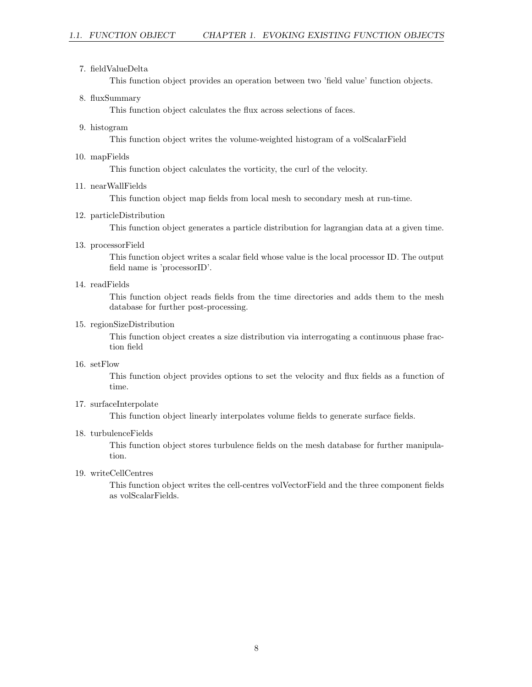#### 7. fieldValueDelta

This function object provides an operation between two 'field value' function objects.

#### 8. fluxSummary

This function object calculates the flux across selections of faces.

9. histogram

This function object writes the volume-weighted histogram of a volScalarField

10. mapFields

This function object calculates the vorticity, the curl of the velocity.

#### 11. nearWallFields

This function object map fields from local mesh to secondary mesh at run-time.

#### 12. particleDistribution

This function object generates a particle distribution for lagrangian data at a given time.

13. processorField

This function object writes a scalar field whose value is the local processor ID. The output field name is 'processorID'.

14. readFields

This function object reads fields from the time directories and adds them to the mesh database for further post-processing.

15. regionSizeDistribution

This function object creates a size distribution via interrogating a continuous phase fraction field

#### 16. setFlow

This function object provides options to set the velocity and flux fields as a function of time.

#### 17. surfaceInterpolate

This function object linearly interpolates volume fields to generate surface fields.

#### 18. turbulenceFields

This function object stores turbulence fields on the mesh database for further manipulation.

#### 19. writeCellCentres

This function object writes the cell-centres volVectorField and the three component fields as volScalarFields.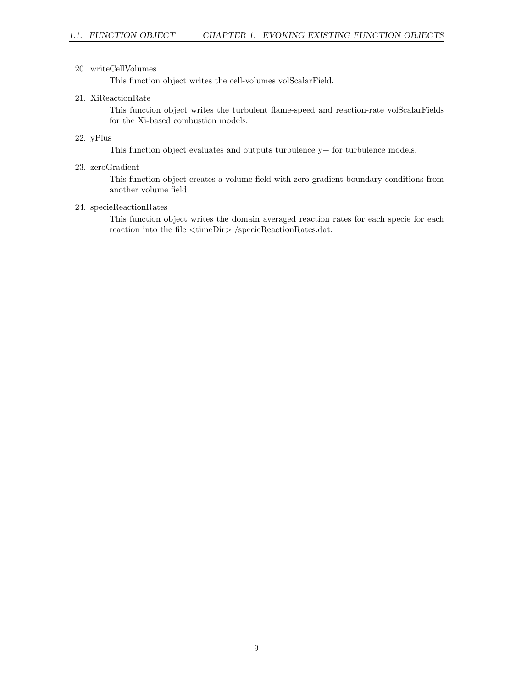#### 20. writeCellVolumes

This function object writes the cell-volumes volScalarField.

#### 21. XiReactionRate

This function object writes the turbulent flame-speed and reaction-rate volScalarFields for the Xi-based combustion models.

#### 22. yPlus

This function object evaluates and outputs turbulence  $y+$  for turbulence models.

#### 23. zeroGradient

This function object creates a volume field with zero-gradient boundary conditions from another volume field.

#### 24. specieReactionRates

This function object writes the domain averaged reaction rates for each specie for each reaction into the file <timeDir> /specieReactionRates.dat.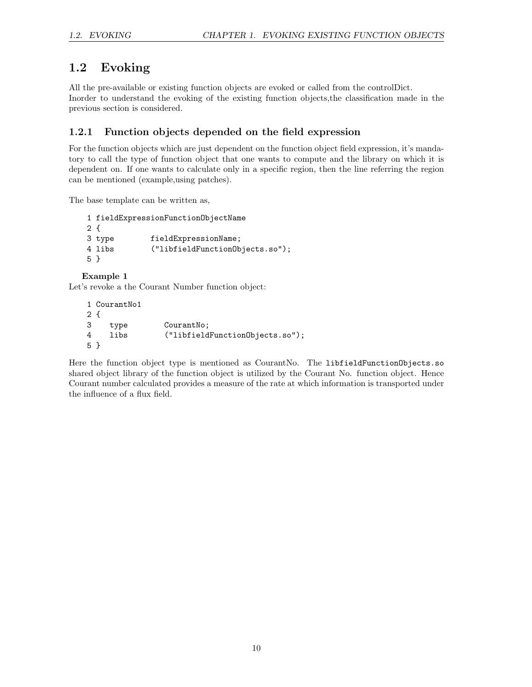## 1.2 Evoking

All the pre-available or existing function objects are evoked or called from the controlDict. Inorder to understand the evoking of the existing function objects,the classification made in the previous section is considered.

### 1.2.1 Function objects depended on the field expression

For the function objects which are just dependent on the function object field expression, it's mandatory to call the type of function object that one wants to compute and the library on which it is dependent on. If one wants to calculate only in a specific region, then the line referring the region can be mentioned (example,using patches).

The base template can be written as,

```
1 fieldExpressionFunctionObjectName
2 {
3 type fieldExpressionName;
4 libs ("libfieldFunctionObjects.so");
5 }
```
Example 1

Let's revoke a the Courant Number function object:

|     | 1 CourantNo1 |                                 |
|-----|--------------|---------------------------------|
| 2 f |              |                                 |
| 3   | type         | CourantNo;                      |
| 4   | libs         | ("libfieldFunction0bjects.so"); |
| 5 } |              |                                 |

Here the function object type is mentioned as CourantNo. The libfieldFunctionObjects.so shared object library of the function object is utilized by the Courant No. function object. Hence Courant number calculated provides a measure of the rate at which information is transported under the influence of a flux field.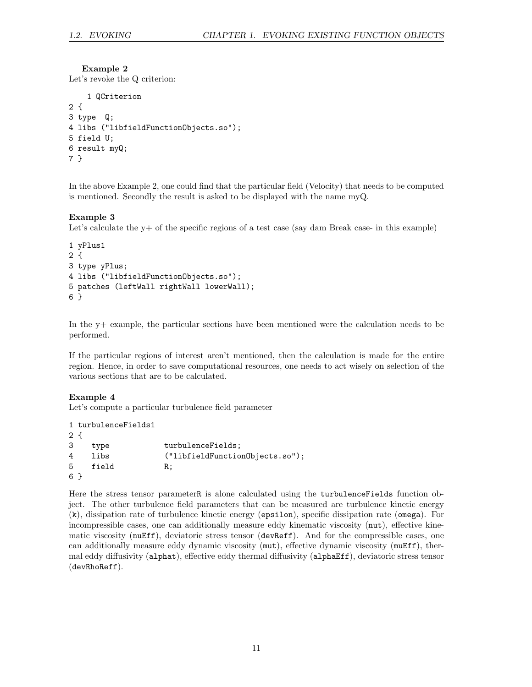#### Example 2

Let's revoke the Q criterion:

```
1 QCriterion
2 {
3 type Q;
4 libs ("libfieldFunctionObjects.so");
5 field U;
6 result myQ;
7 }
```
In the above Example 2, one could find that the particular field (Velocity) that needs to be computed is mentioned. Secondly the result is asked to be displayed with the name myQ.

#### Example 3

Let's calculate the y+ of the specific regions of a test case (say dam Break case- in this example)

```
1 yPlus1
2 {
3 type yPlus;
4 libs ("libfieldFunctionObjects.so");
5 patches (leftWall rightWall lowerWall);
6 }
```
In the y+ example, the particular sections have been mentioned were the calculation needs to be performed.

If the particular regions of interest aren't mentioned, then the calculation is made for the entire region. Hence, in order to save computational resources, one needs to act wisely on selection of the various sections that are to be calculated.

#### Example 4

Let's compute a particular turbulence field parameter

```
1 turbulenceFields1
2 {
3 type turbulenceFields;
4 libs ("libfieldFunctionObjects.so");
5 field R;
6 }
```
Here the stress tensor parameterR is alone calculated using the turbulenceFields function object. The other turbulence field parameters that can be measured are turbulence kinetic energy (k), dissipation rate of turbulence kinetic energy (epsilon), specific dissipation rate (omega). For incompressible cases, one can additionally measure eddy kinematic viscosity (nut), effective kinematic viscosity (nuEff), deviatoric stress tensor (devReff). And for the compressible cases, one can additionally measure eddy dynamic viscosity (mut), effective dynamic viscosity (muEff), thermal eddy diffusivity (alphat), effective eddy thermal diffusivity (alphaEff), deviatoric stress tensor (devRhoReff).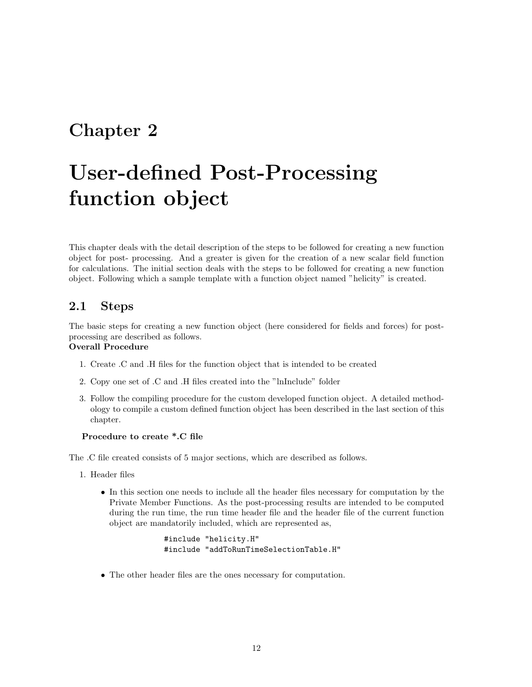## Chapter 2

# User-defined Post-Processing function object

This chapter deals with the detail description of the steps to be followed for creating a new function object for post- processing. And a greater is given for the creation of a new scalar field function for calculations. The initial section deals with the steps to be followed for creating a new function object. Following which a sample template with a function object named "helicity" is created.

### 2.1 Steps

The basic steps for creating a new function object (here considered for fields and forces) for postprocessing are described as follows.

#### Overall Procedure

- 1. Create .C and .H files for the function object that is intended to be created
- 2. Copy one set of .C and .H files created into the "lnInclude" folder
- 3. Follow the compiling procedure for the custom developed function object. A detailed methodology to compile a custom defined function object has been described in the last section of this chapter.

#### Procedure to create \*.C file

The .C file created consists of 5 major sections, which are described as follows.

- 1. Header files
	- In this section one needs to include all the header files necessary for computation by the Private Member Functions. As the post-processing results are intended to be computed during the run time, the run time header file and the header file of the current function object are mandatorily included, which are represented as,

```
#include "helicity.H"
#include "addToRunTimeSelectionTable.H"
```
• The other header files are the ones necessary for computation.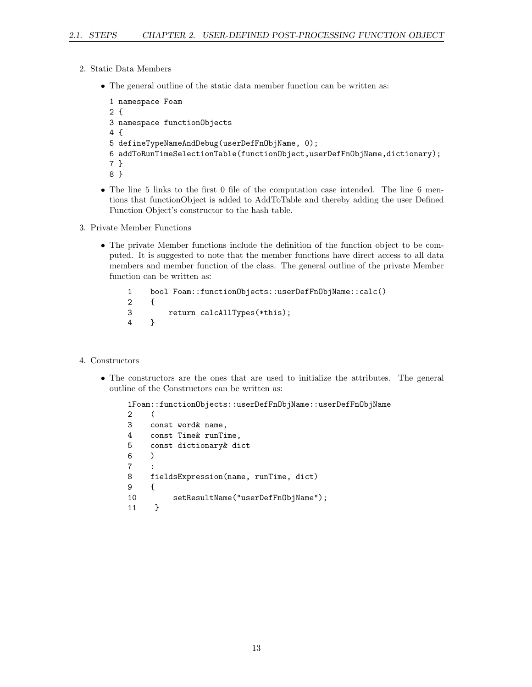- 2. Static Data Members
	- The general outline of the static data member function can be written as:

```
1 namespace Foam
2 {
3 namespace functionObjects
4 {
5 defineTypeNameAndDebug(userDefFnObjName, 0);
6 addToRunTimeSelectionTable(functionObject,userDefFnObjName,dictionary);
7 }
8 }
```
- The line 5 links to the first 0 file of the computation case intended. The line 6 mentions that functionObject is added to AddToTable and thereby adding the user Defined Function Object's constructor to the hash table.
- 3. Private Member Functions
	- The private Member functions include the definition of the function object to be computed. It is suggested to note that the member functions have direct access to all data members and member function of the class. The general outline of the private Member function can be written as:

```
1 bool Foam::functionObjects::userDefFnObjName::calc()
2 {
3 return calcAllTypes(*this);
4 }
```
- 4. Constructors
	- The constructors are the ones that are used to initialize the attributes. The general outline of the Constructors can be written as:

```
1Foam::functionObjects::userDefFnObjName::userDefFnObjName
2 (
3 const word& name,
4 const Time& runTime,
5 const dictionary& dict
6 )
\overline{7}8 fieldsExpression(name, runTime, dict)
9 {
10 setResultName("userDefFnObjName");
11 }
```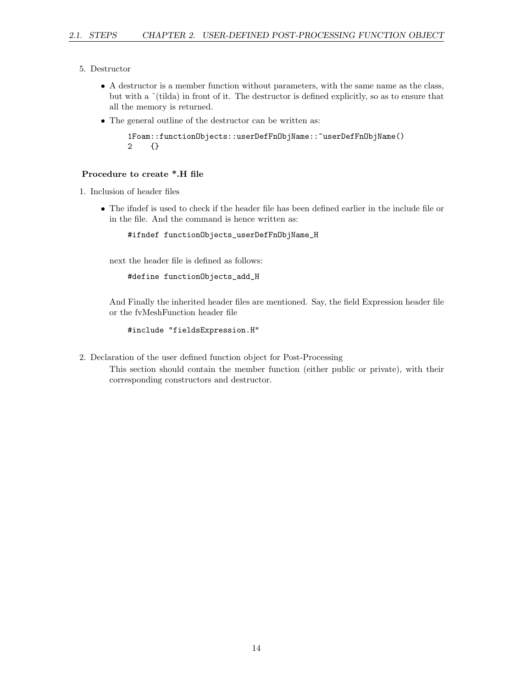- 5. Destructor
	- A destructor is a member function without parameters, with the same name as the class, but with a ˜(tilda) in front of it. The destructor is defined explicitly, so as to ensure that all the memory is returned.
	- The general outline of the destructor can be written as:

```
1Foam::functionObjects::userDefFnObjName::~userDefFnObjName()
2 {}
```
#### Procedure to create \*.H file

```
1. Inclusion of header files
```
• The ifndef is used to check if the header file has been defined earlier in the include file or in the file. And the command is hence written as:

```
#ifndef functionObjects_userDefFnObjName_H
```
next the header file is defined as follows:

```
#define functionObjects_add_H
```
And Finally the inherited header files are mentioned. Say, the field Expression header file or the fvMeshFunction header file

```
#include "fieldsExpression.H"
```
- 2. Declaration of the user defined function object for Post-Processing
	- This section should contain the member function (either public or private), with their corresponding constructors and destructor.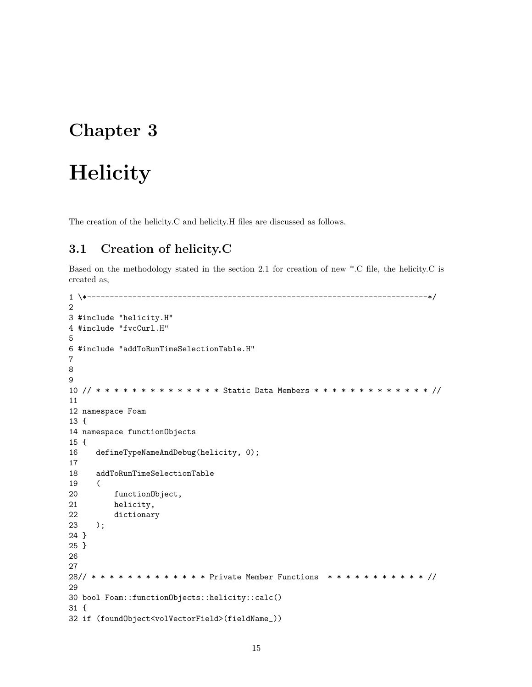# Chapter 3

# **Helicity**

The creation of the helicity.C and helicity.H files are discussed as follows.

## 3.1 Creation of helicity.C

Based on the methodology stated in the section 2.1 for creation of new \*.C file, the helicity.C is created as,

```
1 \*---------------------------------------------------------------------------*/
2
3 #include "helicity.H"
4 #include "fvcCurl.H"
5
6 #include "addToRunTimeSelectionTable.H"
7
8
9
10 // * * * * * * * * * * * * * * Static Data Members * * * * * * * * * * * * * //
11
12 namespace Foam
13 {
14 namespace functionObjects
15 {
16 defineTypeNameAndDebug(helicity, 0);
17
18 addToRunTimeSelectionTable
19 (
20 functionObject,
21 helicity,
22 dictionary
23 );
24 }
25 }
26
27
28// * * * * * * * * * * * * * Private Member Functions * * * * * * * * * * * //
29
30 bool Foam::functionObjects::helicity::calc()
31 {
32 if (foundObject<volVectorField>(fieldName_))
```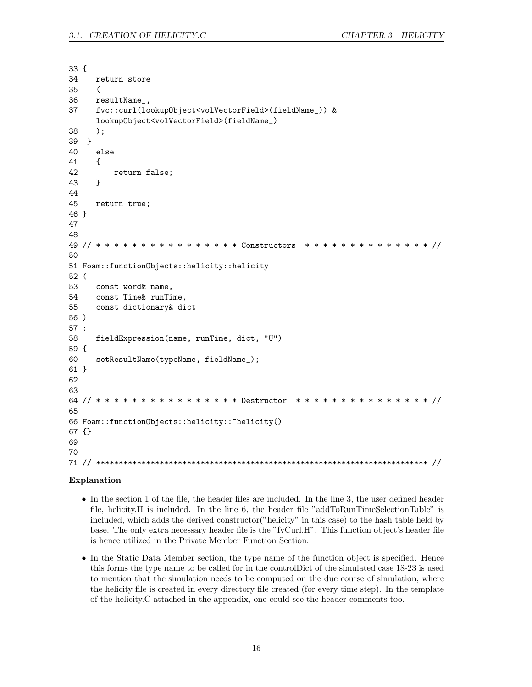33 { 34 return store 35 ( 36 resultName\_, 37 fvc::curl(lookupObject<volVectorField>(fieldName\_)) & lookupObject<volVectorField>(fieldName\_) 38 ); 39 } 40 else 41 { 42 return false; 43 } 44 45 return true; 46 } 47 48 49 // \* \* \* \* \* \* \* \* \* \* \* \* \* \* \* \* Constructors \* \* \* \* \* \* \* \* \* \* \* \* \* \* // 50 51 Foam::functionObjects::helicity::helicity 52 ( 53 const word& name, 54 const Time& runTime, 55 const dictionary& dict 56 ) 57 : 58 fieldExpression(name, runTime, dict, "U") 59 { 60 setResultName(typeName, fieldName\_); 61 } 62 63 64 // \* \* \* \* \* \* \* \* \* \* \* \* \* \* \* \* Destructor \* \* \* \* \* \* \* \* \* \* \* \* \* \* \* // 65 66 Foam::functionObjects::helicity::~helicity() 67 {} 69 70 71 // \*\*\*\*\*\*\*\*\*\*\*\*\*\*\*\*\*\*\*\*\*\*\*\*\*\*\*\*\*\*\*\*\*\*\*\*\*\*\*\*\*\*\*\*\*\*\*\*\*\*\*\*\*\*\*\*\*\*\*\*\*\*\*\*\*\*\*\*\*\*\*\*\* //

#### Explanation

- In the section 1 of the file, the header files are included. In the line 3, the user defined header file, helicity.H is included. In the line 6, the header file "addToRunTimeSelectionTable" is included, which adds the derived constructor("helicity" in this case) to the hash table held by base. The only extra necessary header file is the "fvCurl.H". This function object's header file is hence utilized in the Private Member Function Section.
- In the Static Data Member section, the type name of the function object is specified. Hence this forms the type name to be called for in the controlDict of the simulated case 18-23 is used to mention that the simulation needs to be computed on the due course of simulation, where the helicity file is created in every directory file created (for every time step). In the template of the helicity.C attached in the appendix, one could see the header comments too.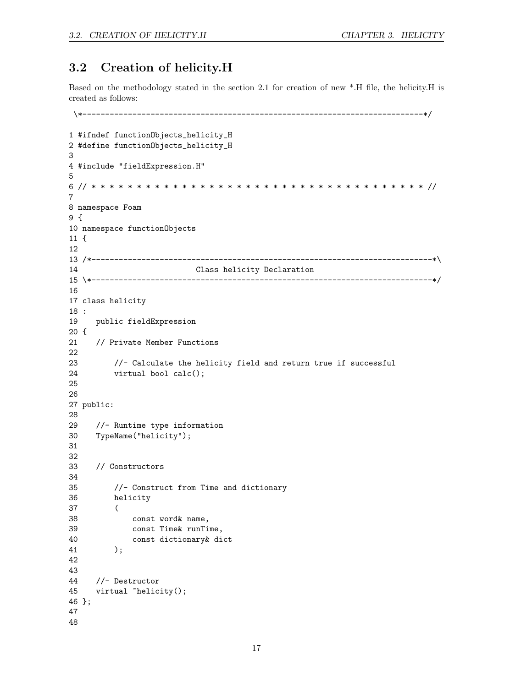### 3.2 Creation of helicity.H

Based on the methodology stated in the section 2.1 for creation of new \*.H file, the helicity.H is created as follows:

```
\*---------------------------------------------------------------------------*/
1 #ifndef functionObjects_helicity_H
2 #define functionObjects_helicity_H
3
4 #include "fieldExpression.H"
5
6 // * * * * * * * * * * * * * * * * * * * * * * * * * * * * * * * * * * * * * //
7
8 namespace Foam
9 {
10 namespace functionObjects
11 {
12
13 /*---------------------------------------------------------------------------*\
14 Class helicity Declaration
15 \*---------------------------------------------------------------------------*/
16
17 class helicity
18 :
19 public fieldExpression
20 {
21 // Private Member Functions
22
23 //- Calculate the helicity field and return true if successful
24 virtual bool calc();
25
26
27 public:
28
29 //- Runtime type information
30 TypeName("helicity");
31
32
33 // Constructors
34
35 //- Construct from Time and dictionary
36 helicity
37 (
38 const word& name,
39 const Time& runTime,
40 const dictionary& dict
41 );
42
43
44 //- Destructor
45 virtual "helicity();
46 };
47
48
```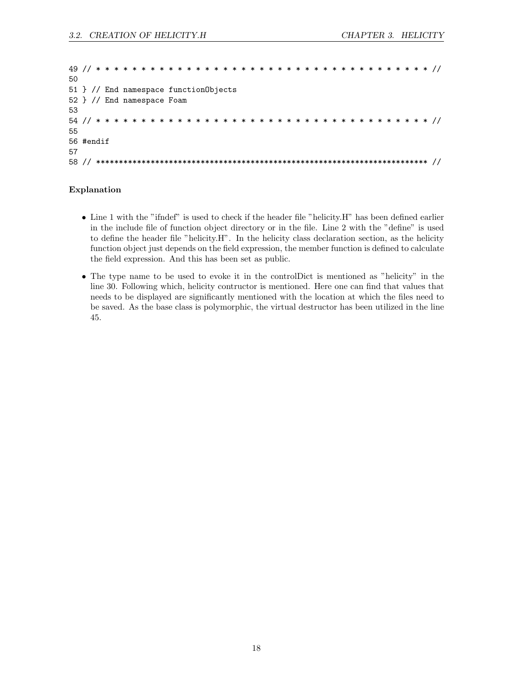| 50                                    |  |  |  |  |  |  |  |  |  |  |  |  |  |  |  |  |  |  |  |  |
|---------------------------------------|--|--|--|--|--|--|--|--|--|--|--|--|--|--|--|--|--|--|--|--|
| 51 } // End namespace function0bjects |  |  |  |  |  |  |  |  |  |  |  |  |  |  |  |  |  |  |  |  |
| 52 } // End namespace Foam            |  |  |  |  |  |  |  |  |  |  |  |  |  |  |  |  |  |  |  |  |
| 53                                    |  |  |  |  |  |  |  |  |  |  |  |  |  |  |  |  |  |  |  |  |
|                                       |  |  |  |  |  |  |  |  |  |  |  |  |  |  |  |  |  |  |  |  |
| 55                                    |  |  |  |  |  |  |  |  |  |  |  |  |  |  |  |  |  |  |  |  |
| 56 #endif                             |  |  |  |  |  |  |  |  |  |  |  |  |  |  |  |  |  |  |  |  |
| 57                                    |  |  |  |  |  |  |  |  |  |  |  |  |  |  |  |  |  |  |  |  |
| 58                                    |  |  |  |  |  |  |  |  |  |  |  |  |  |  |  |  |  |  |  |  |

#### Explanation

- Line 1 with the "ifndef" is used to check if the header file "helicity.H" has been defined earlier in the include file of function object directory or in the file. Line 2 with the "define" is used to define the header file "helicity.H". In the helicity class declaration section, as the helicity function object just depends on the field expression, the member function is defined to calculate the field expression. And this has been set as public.
- The type name to be used to evoke it in the controlDict is mentioned as "helicity" in the line 30. Following which, helicity contructor is mentioned. Here one can find that values that needs to be displayed are significantly mentioned with the location at which the files need to be saved. As the base class is polymorphic, the virtual destructor has been utilized in the line 45.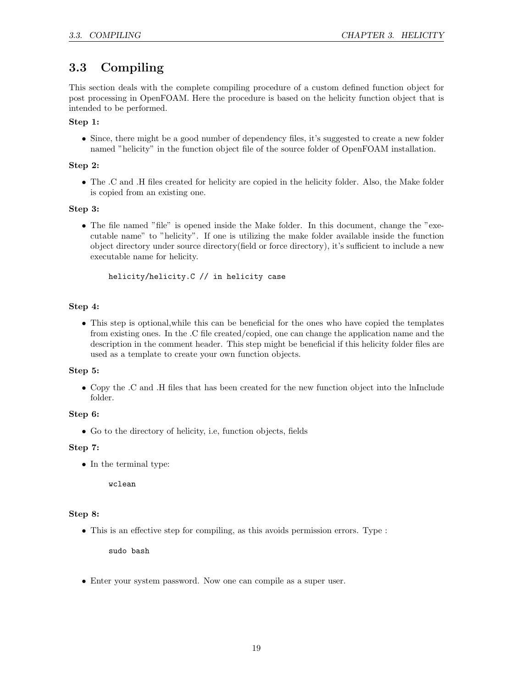## 3.3 Compiling

This section deals with the complete compiling procedure of a custom defined function object for post processing in OpenFOAM. Here the procedure is based on the helicity function object that is intended to be performed.

#### Step 1:

• Since, there might be a good number of dependency files, it's suggested to create a new folder named "helicity" in the function object file of the source folder of OpenFOAM installation.

#### Step 2:

• The .C and .H files created for helicity are copied in the helicity folder. Also, the Make folder is copied from an existing one.

#### Step 3:

• The file named "file" is opened inside the Make folder. In this document, change the "executable name" to "helicity". If one is utilizing the make folder available inside the function object directory under source directory(field or force directory), it's sufficient to include a new executable name for helicity.

helicity/helicity.C // in helicity case

#### Step 4:

• This step is optional,while this can be beneficial for the ones who have copied the templates from existing ones. In the .C file created/copied, one can change the application name and the description in the comment header. This step might be beneficial if this helicity folder files are used as a template to create your own function objects.

#### Step 5:

• Copy the .C and .H files that has been created for the new function object into the lnInclude folder.

#### Step 6:

• Go to the directory of helicity, i.e, function objects, fields

#### Step 7:

• In the terminal type:

wclean

#### Step 8:

• This is an effective step for compiling, as this avoids permission errors. Type :

sudo bash

• Enter your system password. Now one can compile as a super user.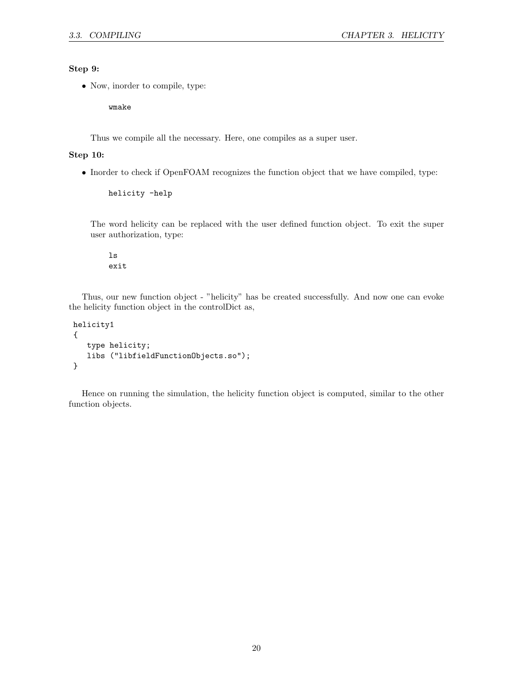#### Step 9:

• Now, inorder to compile, type:

wmake

Thus we compile all the necessary. Here, one compiles as a super user.

#### Step 10:

• Inorder to check if OpenFOAM recognizes the function object that we have compiled, type:

```
helicity -help
```
The word helicity can be replaced with the user defined function object. To exit the super user authorization, type:

ls exit

Thus, our new function object - "helicity" has be created successfully. And now one can evoke the helicity function object in the controlDict as,

```
helicity1
{
   type helicity;
   libs ("libfieldFunctionObjects.so");
}
```
Hence on running the simulation, the helicity function object is computed, similar to the other function objects.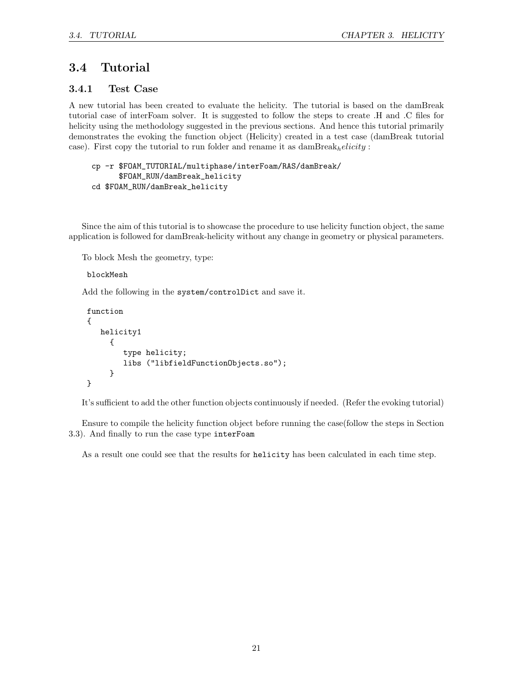### 3.4 Tutorial

#### 3.4.1 Test Case

A new tutorial has been created to evaluate the helicity. The tutorial is based on the damBreak tutorial case of interFoam solver. It is suggested to follow the steps to create .H and .C files for helicity using the methodology suggested in the previous sections. And hence this tutorial primarily demonstrates the evoking the function object (Helicity) created in a test case (damBreak tutorial case). First copy the tutorial to run folder and rename it as  $d$ amBreak<sub>h</sub>elicity :

```
cp -r $FOAM_TUTORIAL/multiphase/interFoam/RAS/damBreak/
      $FOAM_RUN/damBreak_helicity
cd $FOAM_RUN/damBreak_helicity
```
Since the aim of this tutorial is to showcase the procedure to use helicity function object, the same application is followed for damBreak-helicity without any change in geometry or physical parameters.

To block Mesh the geometry, type:

blockMesh

Add the following in the system/controlDict and save it.

```
function
{
   helicity1
     {
        type helicity;
        libs ("libfieldFunctionObjects.so");
     }
}
```
It's sufficient to add the other function objects continuously if needed. (Refer the evoking tutorial)

Ensure to compile the helicity function object before running the case(follow the steps in Section 3.3). And finally to run the case type interFoam

As a result one could see that the results for helicity has been calculated in each time step.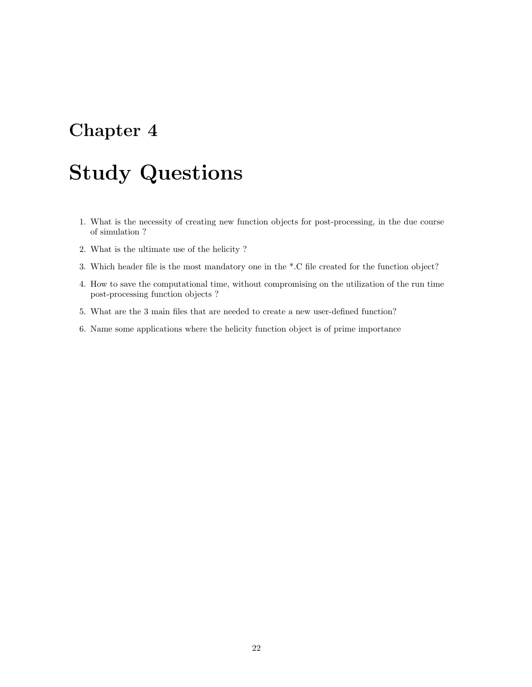# Chapter 4

# Study Questions

- 1. What is the necessity of creating new function objects for post-processing, in the due course of simulation ?
- 2. What is the ultimate use of the helicity ?
- 3. Which header file is the most mandatory one in the \*.C file created for the function object?
- 4. How to save the computational time, without compromising on the utilization of the run time post-processing function objects ?
- 5. What are the 3 main files that are needed to create a new user-defined function?
- 6. Name some applications where the helicity function object is of prime importance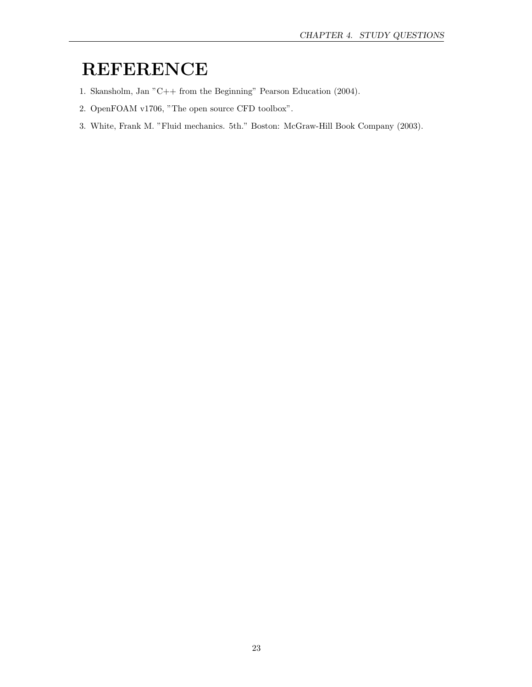# REFERENCE

- 1. Skansholm, Jan "C++ from the Beginning" Pearson Education (2004).
- 2. OpenFOAM v1706, "The open source CFD toolbox".
- 3. White, Frank M. "Fluid mechanics. 5th." Boston: McGraw-Hill Book Company (2003).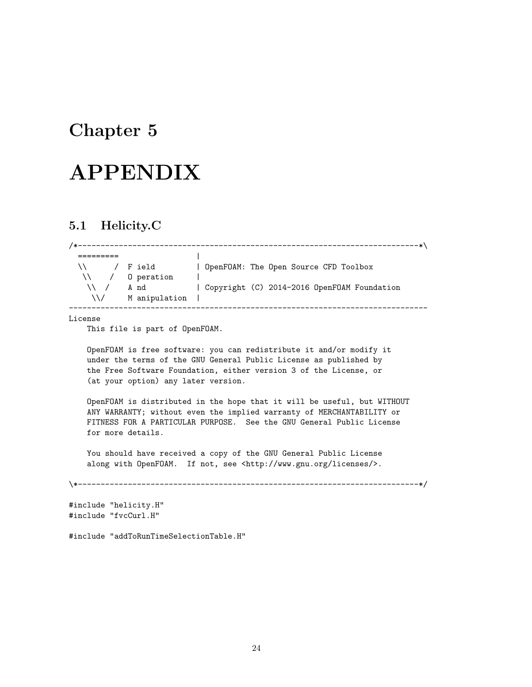## Chapter 5

# APPENDIX

### 5.1 Helicity.C

| /*--------           |                 |                                             |
|----------------------|-----------------|---------------------------------------------|
|                      |                 |                                             |
| $\setminus$ / F ield |                 | DpenFOAM: The Open Source CFD Toolbox       |
|                      | \\ / 0 peration |                                             |
| $\vee$ /             | A nd            | Copyright (C) 2014-2016 OpenFOAM Foundation |
| $\sqrt{2}$           | M anipulation   |                                             |
|                      |                 |                                             |

License

This file is part of OpenFOAM.

OpenFOAM is free software: you can redistribute it and/or modify it under the terms of the GNU General Public License as published by the Free Software Foundation, either version 3 of the License, or (at your option) any later version.

OpenFOAM is distributed in the hope that it will be useful, but WITHOUT ANY WARRANTY; without even the implied warranty of MERCHANTABILITY or FITNESS FOR A PARTICULAR PURPOSE. See the GNU General Public License for more details.

You should have received a copy of the GNU General Public License along with OpenFOAM. If not, see <http://www.gnu.org/licenses/>.

\\*---------------------------------------------------------------------------\*/

#include "helicity.H" #include "fvcCurl.H"

#include "addToRunTimeSelectionTable.H"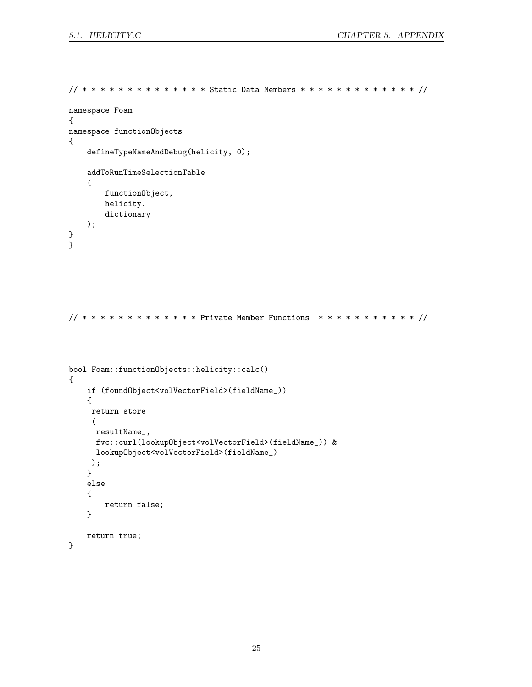```
// * * * * * * * * * * * * * * Static Data Members * * * * * * * * * * * * * //
namespace Foam
{
namespace functionObjects
{
    defineTypeNameAndDebug(helicity, 0);
    addToRunTimeSelectionTable
    (
        functionObject,
        helicity,
        dictionary
    );
}
}
// * * * * * * * * * * * * * Private Member Functions * * * * * * * * * * * //
bool Foam::functionObjects::helicity::calc()
{
    if (foundObject<volVectorField>(fieldName_))
    {
     return store
     (
     resultName_,
      fvc::curl(lookupObject<volVectorField>(fieldName_)) &
      lookupObject<volVectorField>(fieldName_)
     );
    }
    else
    {
        return false;
    }
    return true;
```
}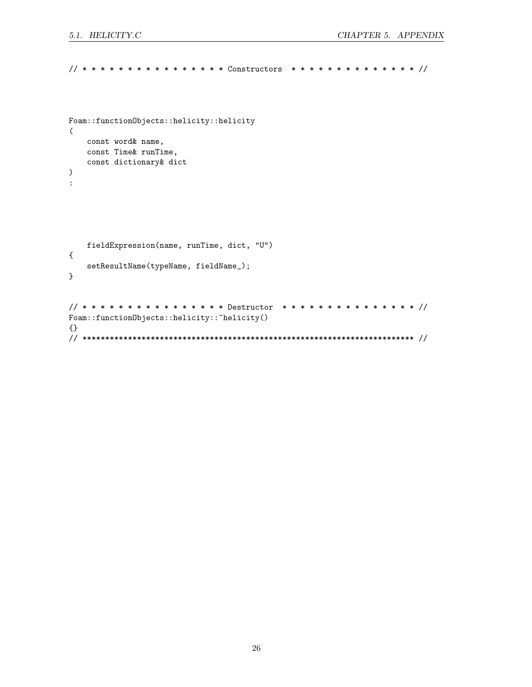```
// * * * * * * * * * * * * * * * * Constructors * * * * * * * * * * * * * * //
Foam::functionObjects::helicity::helicity
(
    const word& name,
    const Time& runTime,
    const dictionary& dict
)
:
    fieldExpression(name, runTime, dict, "U")
{
    setResultName(typeName, fieldName_);
}
// * * * * * * * * * * * * * * * * Destructor * * * * * * * * * * * * * * * //
Foam::functionObjects::helicity::"helicity()
{}
// ************************************************************************* //
```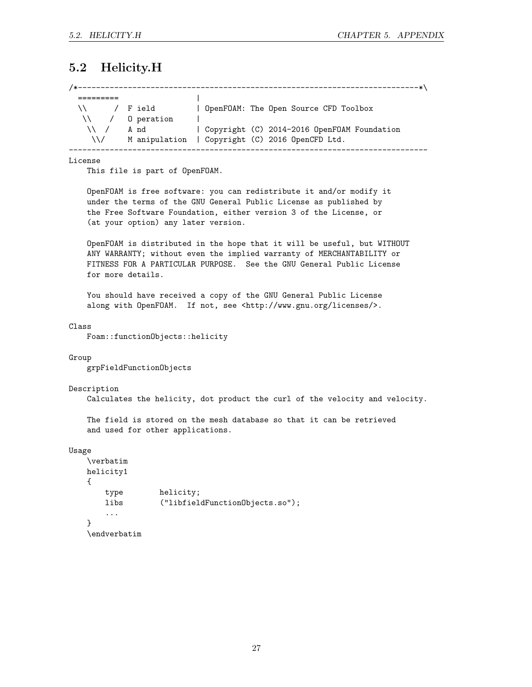### 5.2 Helicity.H

| $\setminus$ / Field      |      | DpenFOAM: The Open Source CFD Toolbox           |
|--------------------------|------|-------------------------------------------------|
| $\setminus$ / 0 peration |      |                                                 |
| $\sqrt{2}$               | A nd | Copyright (C) 2014-2016 OpenFOAM Foundation     |
| $\sqrt{2}$               |      | M anipulation   Copyright (C) 2016 OpenCFD Ltd. |

License

This file is part of OpenFOAM.

OpenFOAM is free software: you can redistribute it and/or modify it under the terms of the GNU General Public License as published by the Free Software Foundation, either version 3 of the License, or (at your option) any later version.

OpenFOAM is distributed in the hope that it will be useful, but WITHOUT ANY WARRANTY; without even the implied warranty of MERCHANTABILITY or FITNESS FOR A PARTICULAR PURPOSE. See the GNU General Public License for more details.

You should have received a copy of the GNU General Public License along with OpenFOAM. If not, see <http://www.gnu.org/licenses/>.

#### Class

Foam::functionObjects::helicity

#### Group

grpFieldFunctionObjects

#### Description

Calculates the helicity, dot product the curl of the velocity and velocity.

The field is stored on the mesh database so that it can be retrieved and used for other applications.

#### Usage

```
\verbatim
helicity1
{
   type helicity;
   libs ("libfieldFunctionObjects.so");
   ...
}
\endverbatim
```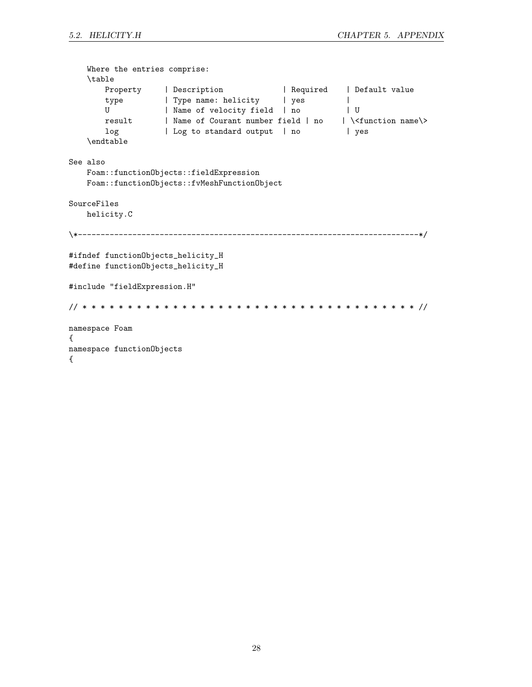| Where the entries comprise:<br>\table<br>Property   Description   Required   Default value<br>type   Type name: helicity   yes<br>  Name of velocity field   no<br>U<br>ΙU<br>result   Name of Courant number field   no   \ <function name\=""><br/>log 10   Log to standard output   no<br/>  yes<br/>\endtable</function> |  |
|------------------------------------------------------------------------------------------------------------------------------------------------------------------------------------------------------------------------------------------------------------------------------------------------------------------------------|--|
| See also<br>Foam::functionObjects::fieldExpression<br>Foam::functionObjects::fvMeshFunctionObject                                                                                                                                                                                                                            |  |
| SourceFiles<br>helicity.C                                                                                                                                                                                                                                                                                                    |  |
|                                                                                                                                                                                                                                                                                                                              |  |
| #ifndef functionObjects_helicity_H<br>#define functionObjects_helicity_H                                                                                                                                                                                                                                                     |  |
| #include "fieldExpression.H"                                                                                                                                                                                                                                                                                                 |  |
|                                                                                                                                                                                                                                                                                                                              |  |
| namespace Foam<br>€                                                                                                                                                                                                                                                                                                          |  |
| namespace functionObjects<br>€                                                                                                                                                                                                                                                                                               |  |